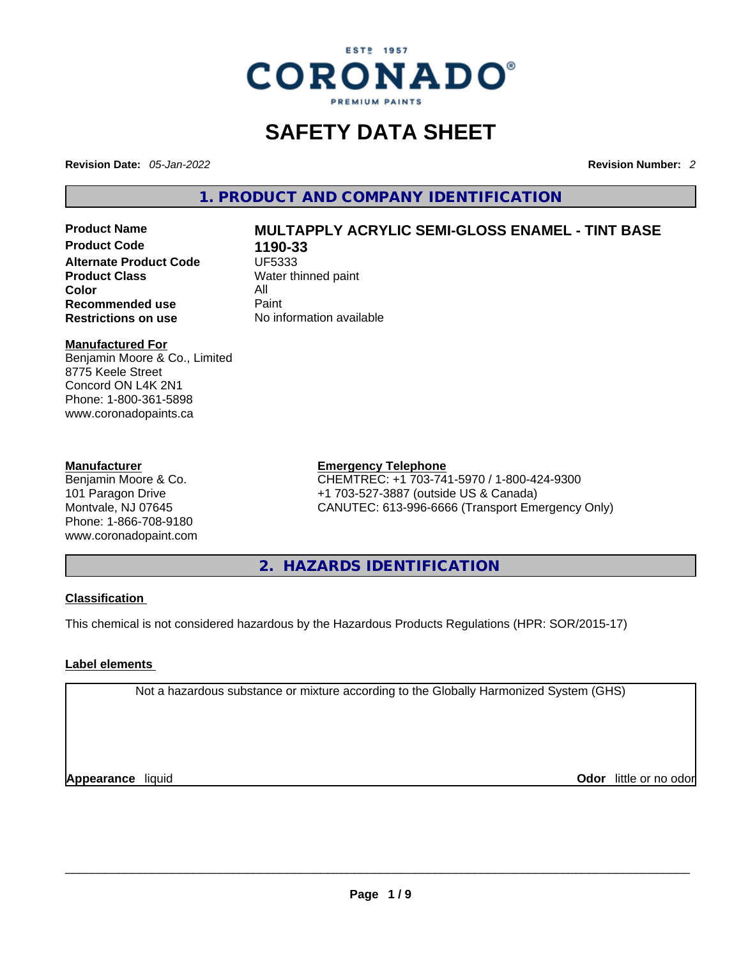

# **SAFETY DATA SHEET**

**Revision Date:** *05-Jan-2022* **Revision Number:** *2*

**1. PRODUCT AND COMPANY IDENTIFICATION** 

**Product Code 1190-33 Alternate Product Code CODE UF5333 Product Class Water thinned paint**<br> **Color Color** All **Recommended use** Paint<br> **Restrictions on use** Mo information available **Restrictions** on use

# **Product Name MULTAPPLY ACRYLIC SEMI-GLOSS ENAMEL - TINT BASE**

## **Manufactured For**

Benjamin Moore & Co., Limited 8775 Keele Street Concord ON L4K 2N1 Phone: 1-800-361-5898 www.coronadopaints.ca

## **Manufacturer**

Benjamin Moore & Co. 101 Paragon Drive Montvale, NJ 07645 Phone: 1-866-708-9180 www.coronadopaint.com

## **Emergency Telephone**

CHEMTREC: +1 703-741-5970 / 1-800-424-9300 +1 703-527-3887 (outside US & Canada) CANUTEC: 613-996-6666 (Transport Emergency Only)

**2. HAZARDS IDENTIFICATION** 

## **Classification**

This chemical is not considered hazardous by the Hazardous Products Regulations (HPR: SOR/2015-17)

## **Label elements**

Not a hazardous substance or mixture according to the Globally Harmonized System (GHS)

**Appearance** liquid **Odor** little or no odor<br> **Appearance** liquid<br> **Odor** little or no odor **Odor** little or no odor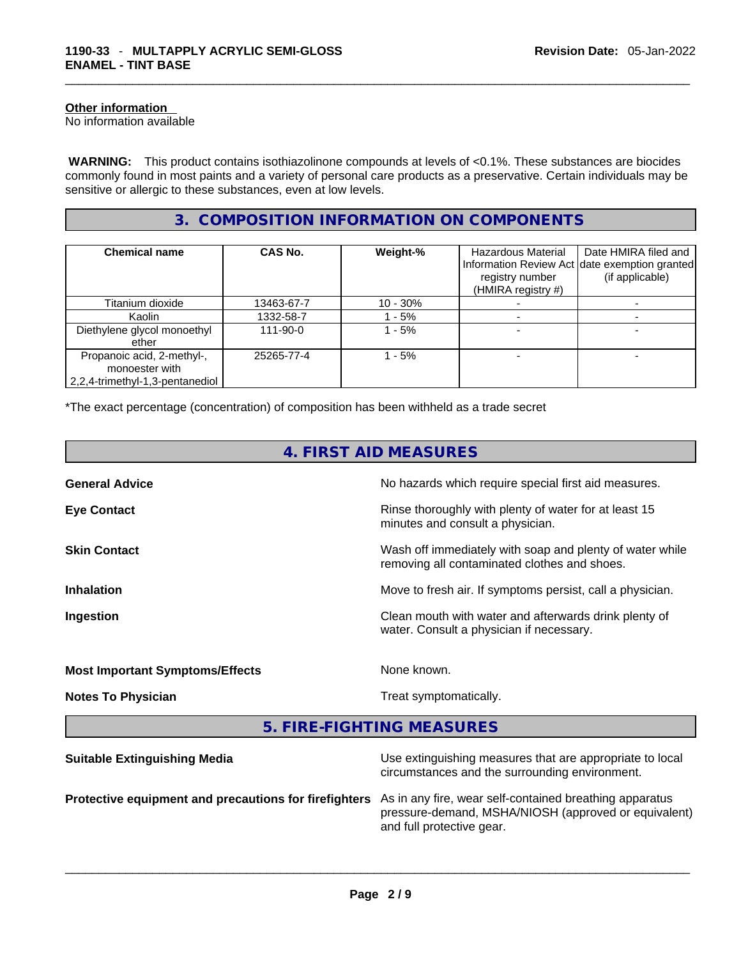## **Other information**

No information available

 **WARNING:** This product contains isothiazolinone compounds at levels of <0.1%. These substances are biocides commonly found in most paints and a variety of personal care products as a preservative. Certain individuals may be sensitive or allergic to these substances, even at low levels.

## **3. COMPOSITION INFORMATION ON COMPONENTS**

| <b>Chemical name</b>                                                            | CAS No.        | Weight-%    | Hazardous Material<br>registry number<br>(HMIRA registry #) | Date HMIRA filed and<br>Information Review Act date exemption granted<br>(if applicable) |
|---------------------------------------------------------------------------------|----------------|-------------|-------------------------------------------------------------|------------------------------------------------------------------------------------------|
| Titanium dioxide                                                                | 13463-67-7     | $10 - 30\%$ |                                                             |                                                                                          |
| Kaolin                                                                          | 1332-58-7      | - 5%        |                                                             |                                                                                          |
| Diethylene glycol monoethyl<br>ether                                            | $111 - 90 - 0$ | - 5%        |                                                             |                                                                                          |
| Propanoic acid, 2-methyl-,<br>monoester with<br>2,2,4-trimethyl-1,3-pentanediol | 25265-77-4     | $-5%$       |                                                             |                                                                                          |

\*The exact percentage (concentration) of composition has been withheld as a trade secret

| 4. FIRST AID MEASURES                  |                                                                                                            |  |
|----------------------------------------|------------------------------------------------------------------------------------------------------------|--|
| <b>General Advice</b>                  | No hazards which require special first aid measures.                                                       |  |
| <b>Eye Contact</b>                     | Rinse thoroughly with plenty of water for at least 15<br>minutes and consult a physician.                  |  |
| <b>Skin Contact</b>                    | Wash off immediately with soap and plenty of water while<br>removing all contaminated clothes and shoes.   |  |
| <b>Inhalation</b>                      | Move to fresh air. If symptoms persist, call a physician.                                                  |  |
| Ingestion                              | Clean mouth with water and afterwards drink plenty of<br>water. Consult a physician if necessary.          |  |
| <b>Most Important Symptoms/Effects</b> | None known.                                                                                                |  |
| <b>Notes To Physician</b>              | Treat symptomatically.                                                                                     |  |
|                                        | 5. FIRE-FIGHTING MEASURES                                                                                  |  |
| <b>Suitable Extinguishing Media</b>    | Use extinguishing measures that are appropriate to local<br>circumstances and the surrounding environment. |  |

**Protective equipment and precautions for firefighters** As in any fire, wear self-contained breathing apparatus pressure-demand, MSHA/NIOSH (approved or equivalent) and full protective gear. \_\_\_\_\_\_\_\_\_\_\_\_\_\_\_\_\_\_\_\_\_\_\_\_\_\_\_\_\_\_\_\_\_\_\_\_\_\_\_\_\_\_\_\_\_\_\_\_\_\_\_\_\_\_\_\_\_\_\_\_\_\_\_\_\_\_\_\_\_\_\_\_\_\_\_\_\_\_\_\_\_\_\_\_\_\_\_\_\_\_\_\_\_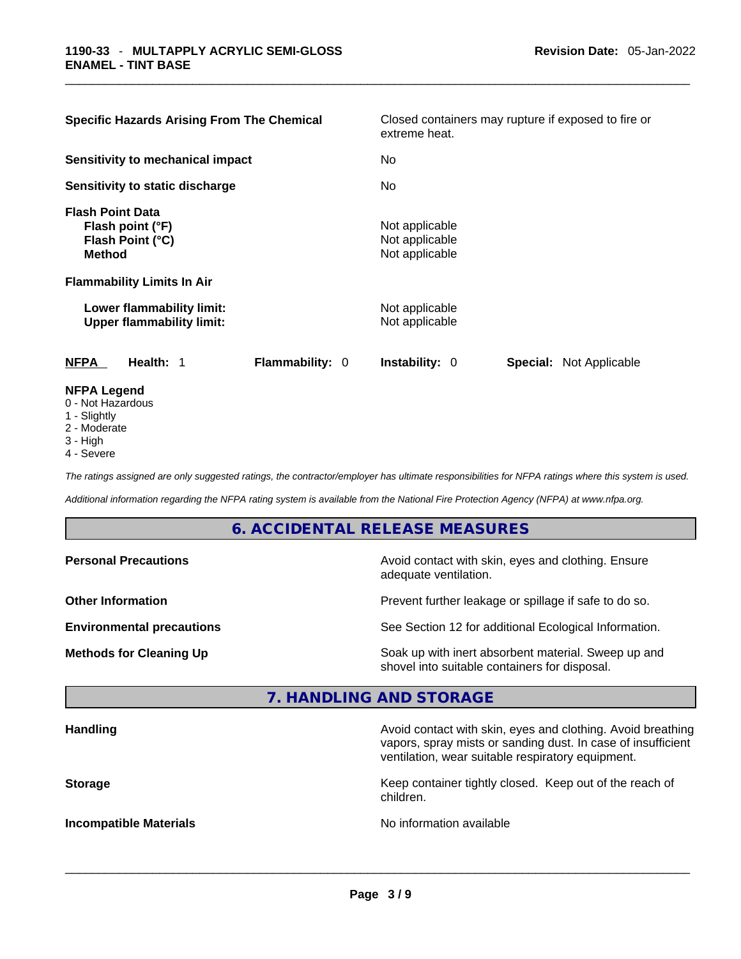| <b>Specific Hazards Arising From The Chemical</b>                                                                     | Closed containers may rupture if exposed to fire or<br>extreme heat. |  |  |  |
|-----------------------------------------------------------------------------------------------------------------------|----------------------------------------------------------------------|--|--|--|
| <b>Sensitivity to mechanical impact</b>                                                                               | No.                                                                  |  |  |  |
| Sensitivity to static discharge                                                                                       | No.                                                                  |  |  |  |
| <b>Flash Point Data</b><br>Flash point (°F)<br>Flash Point (°C)<br><b>Method</b><br><b>Flammability Limits In Air</b> | Not applicable<br>Not applicable<br>Not applicable                   |  |  |  |
| Lower flammability limit:<br><b>Upper flammability limit:</b>                                                         | Not applicable<br>Not applicable                                     |  |  |  |
| Flammability: 0<br><b>NFPA</b><br>Health: 1                                                                           | Instability: 0<br><b>Special: Not Applicable</b>                     |  |  |  |
| <b>NFPA Legend</b><br>0 - Not Hazardous<br>1 - Slightly                                                               |                                                                      |  |  |  |

- 
- 2 Moderate
- 3 High
- 4 Severe

*The ratings assigned are only suggested ratings, the contractor/employer has ultimate responsibilities for NFPA ratings where this system is used.* 

*Additional information regarding the NFPA rating system is available from the National Fire Protection Agency (NFPA) at www.nfpa.org.* 

## **6. ACCIDENTAL RELEASE MEASURES**

| <b>Personal Precautions</b>      | Avoid contact with skin, eyes and clothing. Ensure<br>adequate ventilation.                          |
|----------------------------------|------------------------------------------------------------------------------------------------------|
| <b>Other Information</b>         | Prevent further leakage or spillage if safe to do so.                                                |
| <b>Environmental precautions</b> | See Section 12 for additional Ecological Information.                                                |
| <b>Methods for Cleaning Up</b>   | Soak up with inert absorbent material. Sweep up and<br>shovel into suitable containers for disposal. |

## **7. HANDLING AND STORAGE**

| <b>Handling</b>               | Avoid contact with skin, eyes and clothing. Avoid breathing<br>vapors, spray mists or sanding dust. In case of insufficient<br>ventilation, wear suitable respiratory equipment. |
|-------------------------------|----------------------------------------------------------------------------------------------------------------------------------------------------------------------------------|
| <b>Storage</b>                | Keep container tightly closed. Keep out of the reach of<br>children.                                                                                                             |
| <b>Incompatible Materials</b> | No information available                                                                                                                                                         |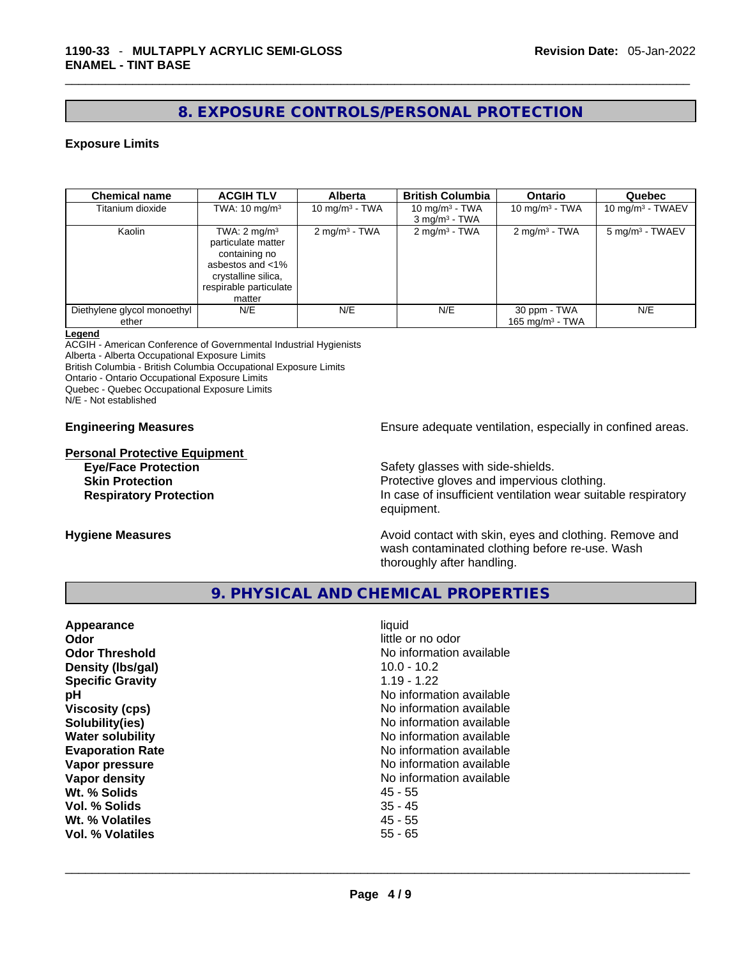## **8. EXPOSURE CONTROLS/PERSONAL PROTECTION**

## **Exposure Limits**

| <b>Chemical name</b>                 | <b>ACGIH TLV</b>                                                                                                                              | <b>Alberta</b>           | <b>British Columbia</b>                          | <b>Ontario</b>                     | Quebec                      |
|--------------------------------------|-----------------------------------------------------------------------------------------------------------------------------------------------|--------------------------|--------------------------------------------------|------------------------------------|-----------------------------|
| Titanium dioxide                     | TWA: $10 \text{ mg/m}^3$                                                                                                                      | 10 mg/m $3$ - TWA        | 10 mg/m $3$ - TWA<br>$3$ mg/m <sup>3</sup> - TWA | 10 mg/m $3$ - TWA                  | 10 mg/m $3$ - TWAEV         |
| Kaolin                               | TWA: $2 \text{ mg/m}^3$<br>particulate matter<br>containing no<br>asbestos and <1%<br>crystalline silica,<br>respirable particulate<br>matter | $2 \text{ mg/m}^3$ - TWA | $2 \text{ mg/m}^3$ - TWA                         | $2 \text{ mg/m}^3$ - TWA           | 5 mg/m <sup>3</sup> - TWAEV |
| Diethylene glycol monoethyl<br>ether | N/E                                                                                                                                           | N/E                      | N/E                                              | 30 ppm - TWA<br>165 mg/m $3$ - TWA | N/E                         |

#### **Legend**

ACGIH - American Conference of Governmental Industrial Hygienists

Alberta - Alberta Occupational Exposure Limits

British Columbia - British Columbia Occupational Exposure Limits

Ontario - Ontario Occupational Exposure Limits

Quebec - Quebec Occupational Exposure Limits

N/E - Not established

**Personal Protective Equipment**

**Engineering Measures Ensure** Ensure adequate ventilation, especially in confined areas.

**Eye/Face Protection Safety glasses with side-shields. Skin Protection Protection** Protective gloves and impervious clothing. **Respiratory Protection In case of insufficient ventilation wear suitable respiratory** equipment.

**Hygiene Measures Avoid contact with skin, eyes and clothing. Remove and Avoid contact with skin, eyes and clothing. Remove and Avoid contact with skin, eyes and clothing. Remove and** wash contaminated clothing before re-use. Wash thoroughly after handling.

## **9. PHYSICAL AND CHEMICAL PROPERTIES**

| Appearance<br>Odor<br><b>Odor Threshold</b><br>Density (Ibs/gal)<br><b>Specific Gravity</b><br>pH<br><b>Viscosity (cps)</b><br>Solubility(ies)<br><b>Water solubility</b><br><b>Evaporation Rate</b><br>Vapor pressure<br>Vapor density<br>Wt. % Solids<br>Vol. % Solids<br>Wt. % Volatiles<br>Vol. % Volatiles | liquid<br>little or no odor<br>No information available<br>$10.0 - 10.2$<br>$1.19 - 1.22$<br>No information available<br>No information available<br>No information available<br>No information available<br>No information available<br>No information available<br>No information available<br>45 - 55<br>$35 - 45$<br>45 - 55<br>$55 - 65$ |  |
|-----------------------------------------------------------------------------------------------------------------------------------------------------------------------------------------------------------------------------------------------------------------------------------------------------------------|-----------------------------------------------------------------------------------------------------------------------------------------------------------------------------------------------------------------------------------------------------------------------------------------------------------------------------------------------|--|
|                                                                                                                                                                                                                                                                                                                 |                                                                                                                                                                                                                                                                                                                                               |  |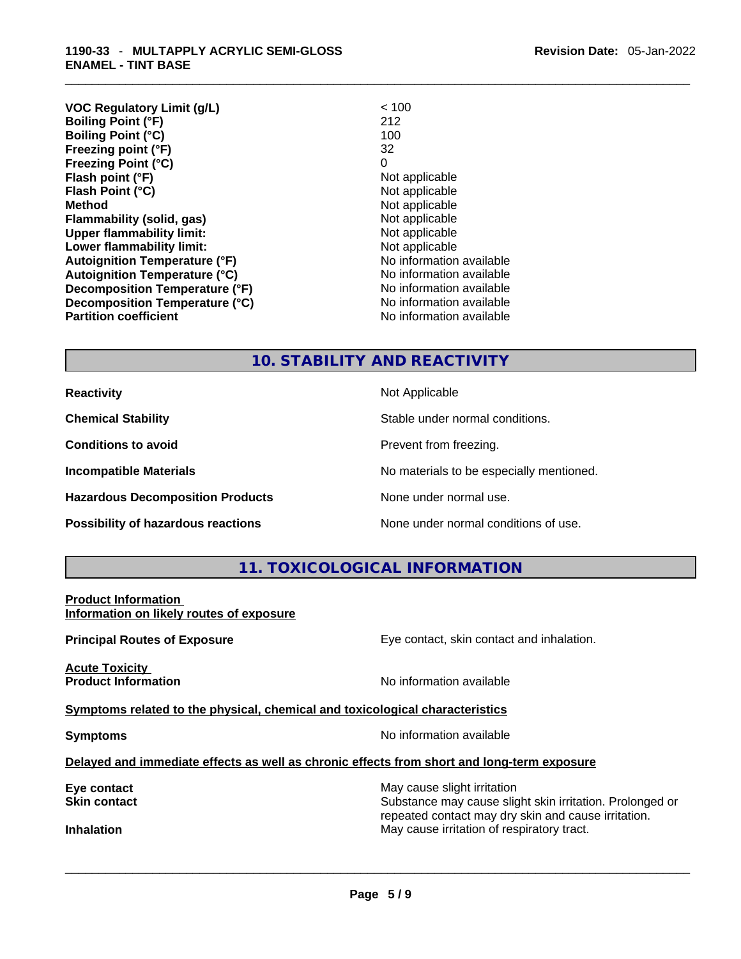| <b>VOC Regulatory Limit (g/L)</b>    | < 100                    |
|--------------------------------------|--------------------------|
| <b>Boiling Point (°F)</b>            | 212                      |
| <b>Boiling Point (°C)</b>            | 100                      |
| Freezing point (°F)                  | 32                       |
| <b>Freezing Point (°C)</b>           | $\Omega$                 |
| Flash point (°F)                     | Not applicable           |
| Flash Point (°C)                     | Not applicable           |
| <b>Method</b>                        | Not applicable           |
| Flammability (solid, gas)            | Not applicable           |
| <b>Upper flammability limit:</b>     | Not applicable           |
| Lower flammability limit:            | Not applicable           |
| <b>Autoignition Temperature (°F)</b> | No information available |
| <b>Autoignition Temperature (°C)</b> | No information available |
| Decomposition Temperature (°F)       | No information available |
| Decomposition Temperature (°C)       | No information available |
| <b>Partition coefficient</b>         | No information available |
|                                      |                          |

**Revision Date:** 05-Jan-2022

## **10. STABILITY AND REACTIVITY**

**Hazardous Decomposition Products** None under normal use.

**Reactivity Not Applicable Not Applicable** 

**Chemical Stability** Stable under normal conditions.

**Conditions to avoid Prevent from freezing.** 

**Incompatible Materials Materials No materials to be especially mentioned.** 

**Possibility of hazardous reactions** None under normal conditions of use.

## **11. TOXICOLOGICAL INFORMATION**

**Product Information Information on likely routes of exposure**

**Acute Toxicity Product Information Information No information available** 

**Principal Routes of Exposure Exposure** Eye contact, skin contact and inhalation.

**Symptoms** related to the physical, chemical and toxicological characteristics

**Symptoms Symptoms No information available** 

**Delayed and immediate effects as well as chronic effects from short and long-term exposure**

**Eye contact** May cause slight irritation **Eye** contact **May cause slight irritation** 

**Skin contact Substance may cause slight skin irritation. Prolonged or** Substance may cause slight skin irritation. Prolonged or repeated contact may dry skin and cause irritation. **Inhalation** May cause irritation of respiratory tract. \_\_\_\_\_\_\_\_\_\_\_\_\_\_\_\_\_\_\_\_\_\_\_\_\_\_\_\_\_\_\_\_\_\_\_\_\_\_\_\_\_\_\_\_\_\_\_\_\_\_\_\_\_\_\_\_\_\_\_\_\_\_\_\_\_\_\_\_\_\_\_\_\_\_\_\_\_\_\_\_\_\_\_\_\_\_\_\_\_\_\_\_\_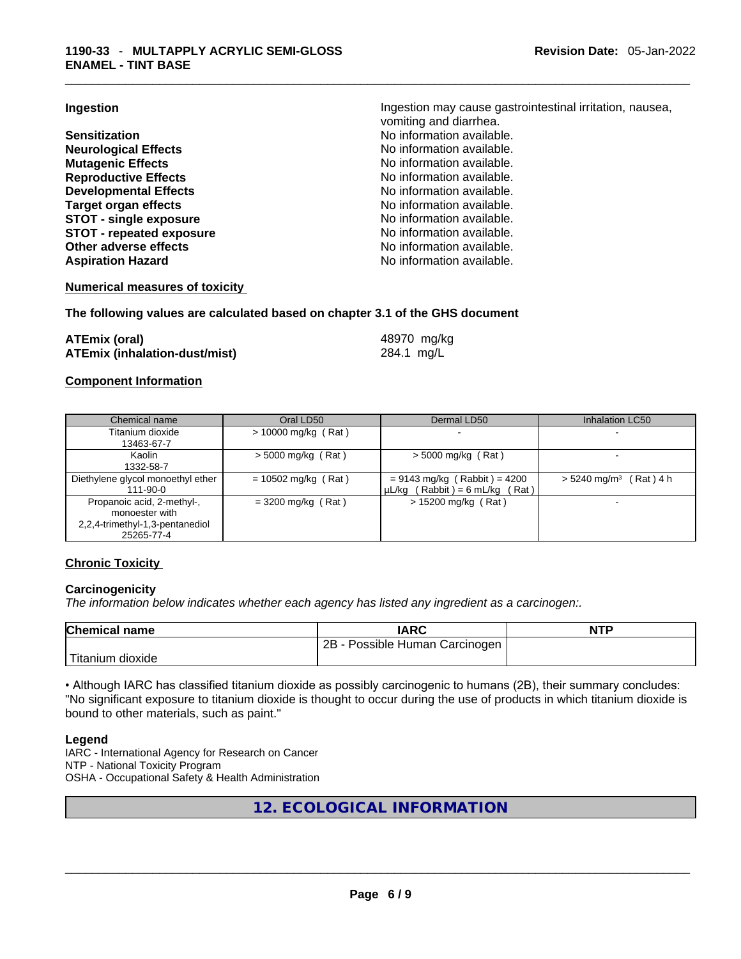**Neurological Effects** No information available. **Mutagenic Effects Mutagenic Effects No information available. Reproductive Effects No information available.** No information available. **Developmental Effects No information available. Target organ effects**<br> **STOT - single exposure**<br> **STOT - single exposure**<br> **No information available. STOT** - single exposure **STOT** - **repeated exposure No information available. Other adverse effects No information available.** Aspiration Hazard **Aspiration Hazard No information available.** 

**Ingestion Ingestion Ingestion may cause gastrointestinal irritation**, nausea, vomiting and diarrhea. **Sensitization No information available. No information available.** 

## **Numerical measures of toxicity**

### **The following values are calculated based on chapter 3.1 of the GHS document**

| <b>ATEmix (oral)</b>                 | 48970 mg/kg |
|--------------------------------------|-------------|
| <b>ATEmix (inhalation-dust/mist)</b> | 284.1 mg/L  |

### **Component Information**

| Chemical name                                                                                 | Oral LD50             | Dermal LD50                                                           | <b>Inhalation LC50</b>               |
|-----------------------------------------------------------------------------------------------|-----------------------|-----------------------------------------------------------------------|--------------------------------------|
| Titanium dioxide<br>13463-67-7                                                                | $> 10000$ mg/kg (Rat) |                                                                       |                                      |
| Kaolin<br>1332-58-7                                                                           | $>$ 5000 mg/kg (Rat)  | $>$ 5000 mg/kg (Rat)                                                  |                                      |
| Diethylene glycol monoethyl ether<br>111-90-0                                                 | $= 10502$ mg/kg (Rat) | $= 9143$ mg/kg (Rabbit) = 4200<br>$\mu L/kg$ (Rabbit) = 6 mL/kg (Rat) | $> 5240$ mg/m <sup>3</sup> (Rat) 4 h |
| Propanoic acid, 2-methyl-,<br>monoester with<br>2,2,4-trimethyl-1,3-pentanediol<br>25265-77-4 | $= 3200$ mg/kg (Rat)  | $> 15200$ mg/kg (Rat)                                                 |                                      |

## **Chronic Toxicity**

## **Carcinogenicity**

*The information below indicates whether each agency has listed any ingredient as a carcinogen:.* 

| <b>Chemical name</b> | IARC                            | <b>NTP</b> |
|----------------------|---------------------------------|------------|
|                      | 2B<br>Possible Human Carcinogen |            |
| 'Titanium dioxide    |                                 |            |

• Although IARC has classified titanium dioxide as possibly carcinogenic to humans (2B), their summary concludes: "No significant exposure to titanium dioxide is thought to occur during the use of products in which titanium dioxide is bound to other materials, such as paint."

#### **Legend**

IARC - International Agency for Research on Cancer NTP - National Toxicity Program OSHA - Occupational Safety & Health Administration

## **12. ECOLOGICAL INFORMATION**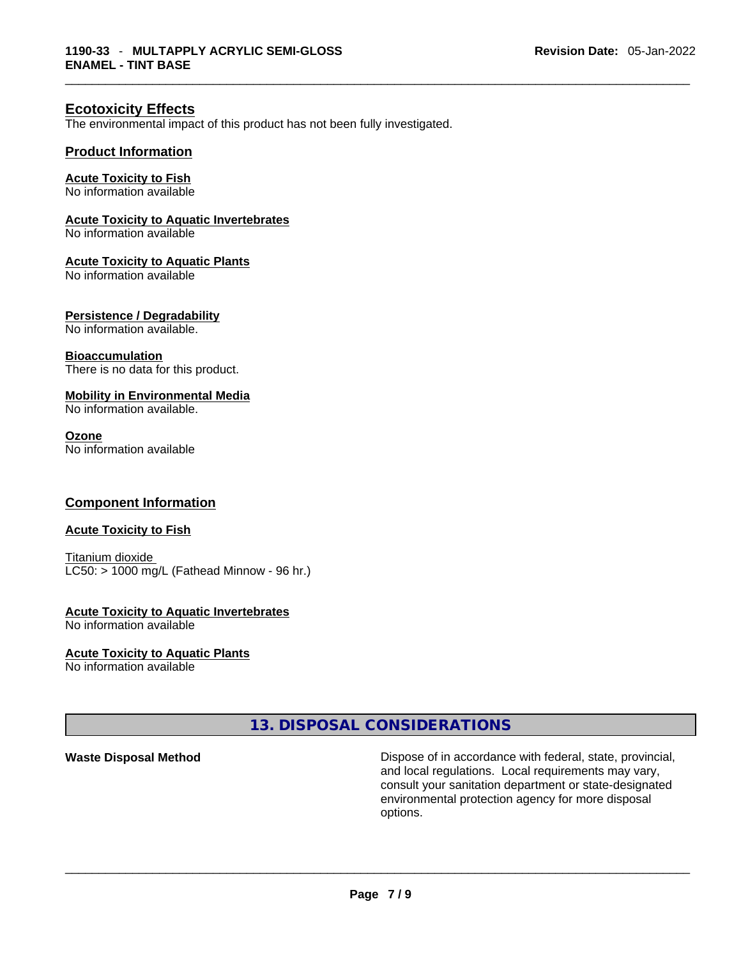## **Ecotoxicity Effects**

The environmental impact of this product has not been fully investigated.

## **Product Information**

#### **Acute Toxicity to Fish** No information available

## **Acute Toxicity to Aquatic Invertebrates**

No information available

### **Acute Toxicity to Aquatic Plants**

No information available

## **Persistence / Degradability**

No information available.

### **Bioaccumulation**

There is no data for this product.

## **Mobility in Environmental Media**

No information available.

### **Ozone**

No information available

## **Component Information**

## **Acute Toxicity to Fish**

Titanium dioxide  $LC50:$  > 1000 mg/L (Fathead Minnow - 96 hr.)

## **Acute Toxicity to Aquatic Invertebrates**

No information available

## **Acute Toxicity to Aquatic Plants**

No information available

## **13. DISPOSAL CONSIDERATIONS**

**Waste Disposal Method** Dispose of in accordance with federal, state, provincial, and local regulations. Local requirements may vary, consult your sanitation department or state-designated environmental protection agency for more disposal options. \_\_\_\_\_\_\_\_\_\_\_\_\_\_\_\_\_\_\_\_\_\_\_\_\_\_\_\_\_\_\_\_\_\_\_\_\_\_\_\_\_\_\_\_\_\_\_\_\_\_\_\_\_\_\_\_\_\_\_\_\_\_\_\_\_\_\_\_\_\_\_\_\_\_\_\_\_\_\_\_\_\_\_\_\_\_\_\_\_\_\_\_\_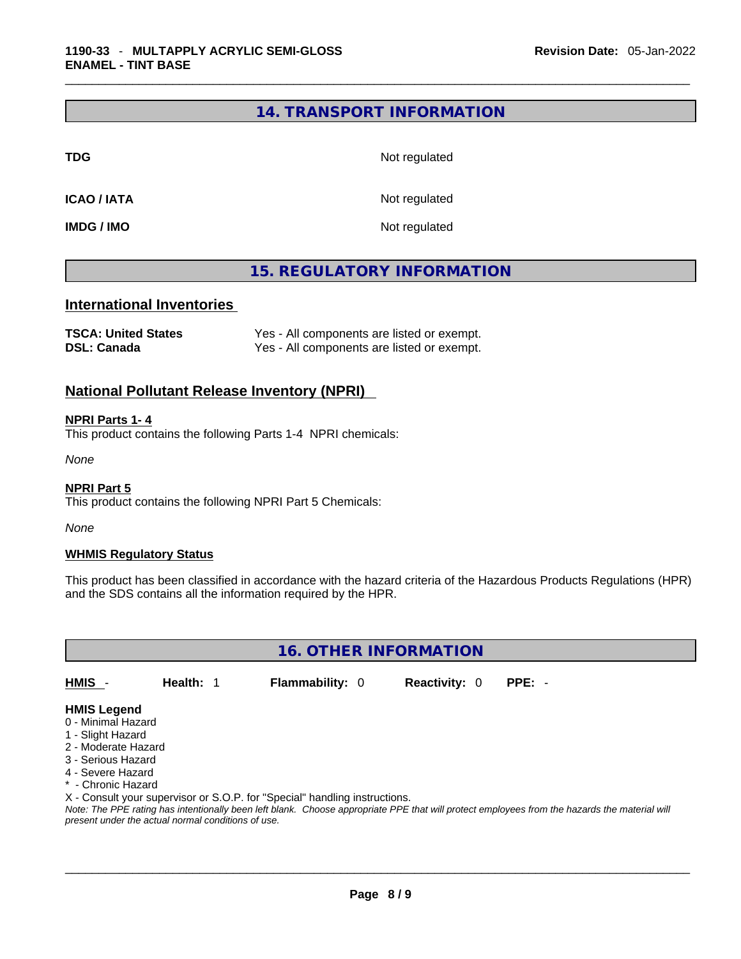## **14. TRANSPORT INFORMATION**

**TDG** Not regulated

**ICAO / IATA** Not regulated

**IMDG / IMO** Not regulated

## **15. REGULATORY INFORMATION**

## **International Inventories**

| <b>TSCA: United States</b> | Yes - All components are listed or exempt. |
|----------------------------|--------------------------------------------|
| <b>DSL: Canada</b>         | Yes - All components are listed or exempt. |

## **National Pollutant Release Inventory (NPRI)**

## **NPRI Parts 1- 4**

This product contains the following Parts 1-4 NPRI chemicals:

*None*

### **NPRI Part 5**

This product contains the following NPRI Part 5 Chemicals:

*None*

## **WHMIS Regulatory Status**

This product has been classified in accordance with the hazard criteria of the Hazardous Products Regulations (HPR) and the SDS contains all the information required by the HPR.

**16. OTHER INFORMATION** 

**HMIS** - **Health:** 1 **Flammability:** 0 **Reactivity:** 0 **PPE:** -

- **HMIS Legend** 0 - Minimal Hazard
- 1 Slight Hazard
- 2 Moderate Hazard
- 3 Serious Hazard
- 4 Severe Hazard
- \* Chronic Hazard
- 

X - Consult your supervisor or S.O.P. for "Special" handling instructions.

Note: The PPE rating has intentionally been left blank. Choose appropriate PPE that will protect employees from the hazards the material will *present under the actual normal conditions of use.*